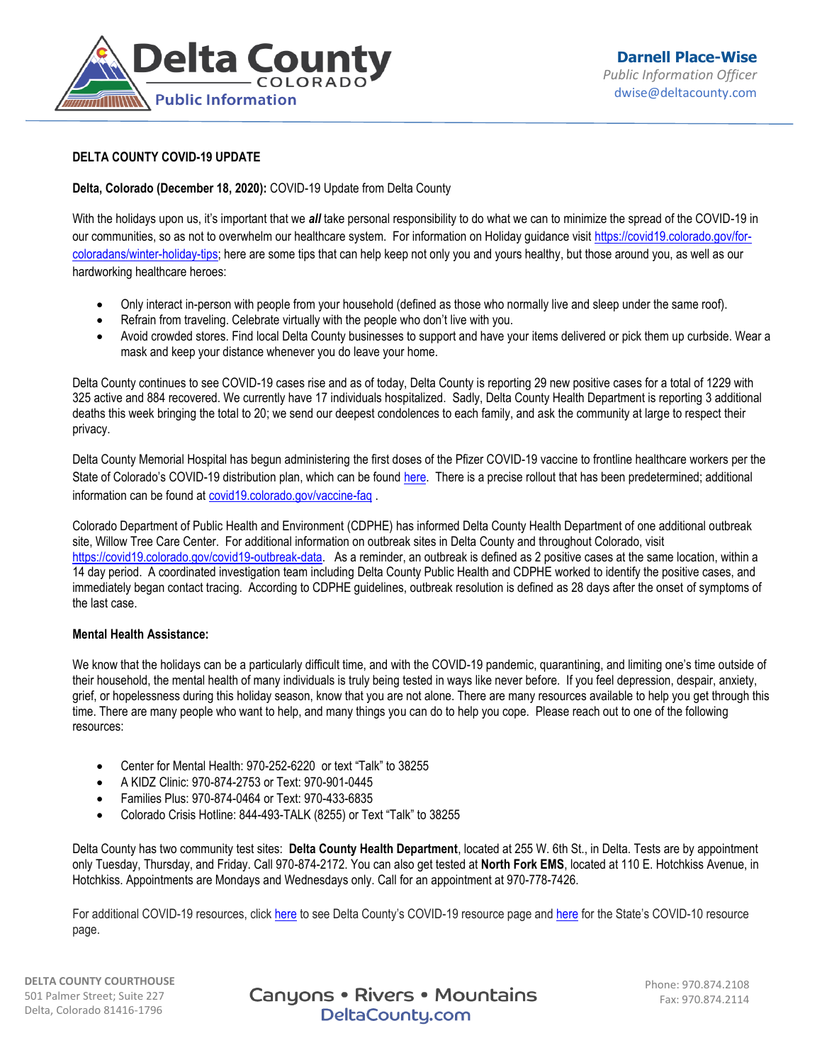

## **DELTA COUNTY COVID-19 UPDATE**

## **Delta, Colorado (December 18, 2020):** COVID-19 Update from Delta County

With the holidays upon us, it's important that we *all* take personal responsibility to do what we can to minimize the spread of the COVID-19 in our communities, so as not to overwhelm our healthcare system. For information on Holiday guidance visit [https://covid19.colorado.gov/for](https://covid19.colorado.gov/for-coloradans/winter-holiday-tips)[coloradans/winter-holiday-tips;](https://covid19.colorado.gov/for-coloradans/winter-holiday-tips) here are some tips that can help keep not only you and yours healthy, but those around you, as well as our hardworking healthcare heroes:

- Only interact in-person with people from your household (defined as those who normally live and sleep under the same roof).
- Refrain from traveling. Celebrate virtually with the people who don't live with you.
- Avoid crowded stores. Find local Delta County businesses to support and have your items delivered or pick them up curbside. Wear a mask and keep your distance whenever you do leave your home.

Delta County continues to see COVID-19 cases rise and as of today, Delta County is reporting 29 new positive cases for a total of 1229 with 325 active and 884 recovered. We currently have 17 individuals hospitalized. Sadly, Delta County Health Department is reporting 3 additional deaths this week bringing the total to 20; we send our deepest condolences to each family, and ask the community at large to respect their privacy.

Delta County Memorial Hospital has begun administering the first doses of the Pfizer COVID-19 vaccine to frontline healthcare workers per the State of Colorado's COVID-19 distribution plan, which can be found [here.](https://covid19.colorado.gov/vaccine) There is a precise rollout that has been predetermined; additional information can be found a[t covid19.colorado.gov/vaccine-faq](https://covid19.colorado.gov/vaccine-faq) .

Colorado Department of Public Health and Environment (CDPHE) has informed Delta County Health Department of one additional outbreak site, Willow Tree Care Center. For additional information on outbreak sites in Delta County and throughout Colorado, visit [https://covid19.colorado.gov/covid19-outbreak-data.](https://covid19.colorado.gov/covid19-outbreak-data) As a reminder, an outbreak is defined as 2 positive cases at the same location, within a 14 day period. A coordinated investigation team including Delta County Public Health and CDPHE worked to identify the positive cases, and immediately began contact tracing. According to CDPHE guidelines, outbreak resolution is defined as 28 days after the onset of symptoms of the last case.

## **Mental Health Assistance:**

We know that the holidays can be a particularly difficult time, and with the COVID-19 pandemic, quarantining, and limiting one's time outside of their household, the mental health of many individuals is truly being tested in ways like never before. If you feel depression, despair, anxiety, grief, or hopelessness during this holiday season, know that you are not alone. There are many resources available to help you get through this time. There are many people who want to help, and many things you can do to help you cope. Please reach out to one of the following resources:

- Center for Mental Health: 970-252-6220 or text "Talk" to 38255
- A KIDZ Clinic: 970-874-2753 or Text: 970-901-0445
- Families Plus: 970-874-0464 or Text: 970-433-6835
- Colorado Crisis Hotline: 844-493-TALK (8255) or Text "Talk" to 38255

Delta County has two community test sites: **Delta County Health Department**, located at 255 W. 6th St., in Delta. Tests are by appointment only Tuesday, Thursday, and Friday. Call 970-874-2172. You can also get tested at **North Fork EMS**, located at 110 E. Hotchkiss Avenue, in Hotchkiss. Appointments are Mondays and Wednesdays only. Call for an appointment at 970-778-7426.

For additional COVID-19 resources, click [here](http://deltacounty.com/688/Coronavirus-19-COVID-19) to see Delta County's COVID-19 resource page an[d here](https://covid19.colorado.gov/covid-19-dial) for the State's COVID-10 resource page.

**DELTA COUNTY COURTHOUSE** 501 Palmer Street; Suite 227 Delta, Colorado 81416-1796

**Canyons • Rivers • Mountains** DeltaCounty.com

Phone: 970.874.2108 Fax: 970.874.2114